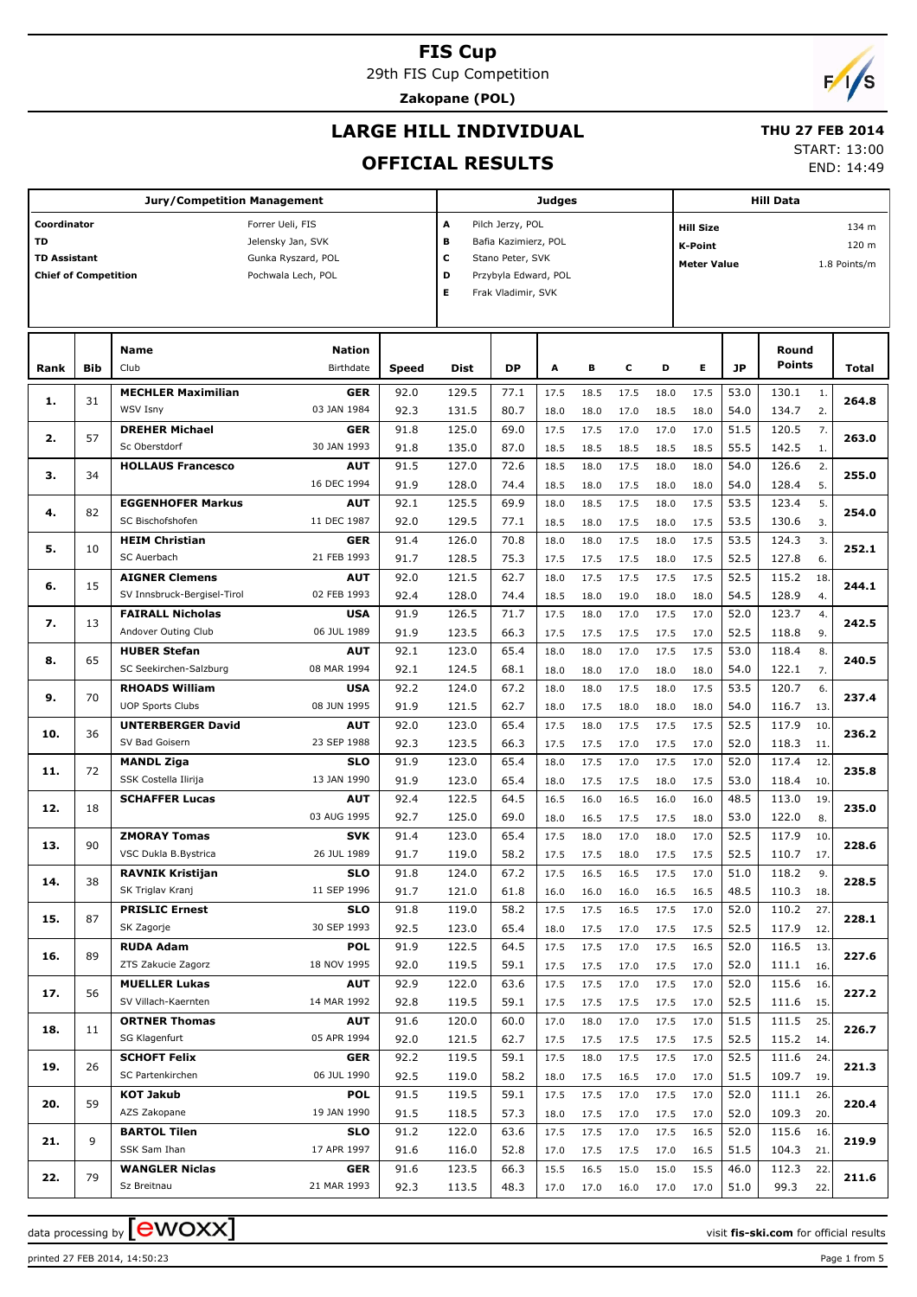29th FIS Cup Competition

**Zakopane (POL)**

# $F/1/s$

### **LARGE HILL INDIVIDUAL**

#### **THU 27 FEB 2014**

#### **OFFICIAL RESULTS**

START: 13:00

END: 14:49

|                             |            | <b>Jury/Competition Management</b>           |                           |              |                |                      | Judges       |              |              |              | <b>Hill Data</b>   |              |                 |              |       |  |  |  |  |
|-----------------------------|------------|----------------------------------------------|---------------------------|--------------|----------------|----------------------|--------------|--------------|--------------|--------------|--------------------|--------------|-----------------|--------------|-------|--|--|--|--|
| Coordinator                 |            |                                              | Forrer Ueli, FIS          |              | А              | Pilch Jerzy, POL     |              |              |              |              | <b>Hill Size</b>   | 134 m        |                 |              |       |  |  |  |  |
| <b>TD</b>                   |            |                                              | Jelensky Jan, SVK         |              | в              | Bafia Kazimierz, POL |              |              |              |              | <b>K-Point</b>     |              |                 |              | 120 m |  |  |  |  |
| <b>TD Assistant</b>         |            |                                              | Gunka Ryszard, POL        |              | с              | Stano Peter, SVK     |              |              |              |              | <b>Meter Value</b> |              |                 | 1.8 Points/m |       |  |  |  |  |
| <b>Chief of Competition</b> |            |                                              | Pochwala Lech, POL        |              | D              | Przybyla Edward, POL |              |              |              |              |                    |              |                 |              |       |  |  |  |  |
|                             |            |                                              |                           |              | Е              | Frak Vladimir, SVK   |              |              |              |              |                    |              |                 |              |       |  |  |  |  |
|                             |            |                                              |                           |              |                |                      |              |              |              |              |                    |              |                 |              |       |  |  |  |  |
|                             |            |                                              |                           |              |                |                      |              |              |              |              |                    |              |                 |              |       |  |  |  |  |
|                             |            | <b>Name</b>                                  | <b>Nation</b>             |              |                |                      |              |              |              |              |                    |              | Round<br>Points |              |       |  |  |  |  |
| Rank                        | <b>Bib</b> | Club                                         | Birthdate                 | Speed        | <b>Dist</b>    | <b>DP</b>            | Α            | в            | c            | D            | E.                 | JP           |                 |              | Total |  |  |  |  |
| 1.                          | 31         | <b>MECHLER Maximilian</b>                    | GER                       | 92.0         | 129.5          | 77.1                 | 17.5         | 18.5         | 17.5         | 18.0         | 17.5               | 53.0         | 130.1           | 1.           | 264.8 |  |  |  |  |
|                             |            | <b>WSV Isny</b>                              | 03 JAN 1984               | 92.3         | 131.5          | 80.7                 | 18.0         | 18.0         | 17.0         | 18.5         | 18.0               | 54.0         | 134.7           | 2.           |       |  |  |  |  |
| 2.                          | 57         | <b>DREHER Michael</b>                        | GER                       | 91.8         | 125.0          | 69.0                 | 17.5         | 17.5         | 17.0         | 17.0         | 17.0               | 51.5         | 120.5           | 7.           | 263.0 |  |  |  |  |
|                             |            | Sc Oberstdorf                                | 30 JAN 1993               | 91.8         | 135.0          | 87.0                 | 18.5         | 18.5         | 18.5         | 18.5         | 18.5               | 55.5         | 142.5           | 1.           |       |  |  |  |  |
| з.                          | 34         | <b>HOLLAUS Francesco</b>                     | AUT                       | 91.5         | 127.0          | 72.6                 | 18.5         | 18.0         | 17.5         | 18.0         | 18.0               | 54.0         | 126.6           | 2.           | 255.0 |  |  |  |  |
|                             |            |                                              | 16 DEC 1994               | 91.9         | 128.0          | 74.4                 | 18.5         | 18.0         | 17.5         | 18.0         | 18.0               | 54.0         | 128.4           | 5.           |       |  |  |  |  |
| 4.                          | 82         | <b>EGGENHOFER Markus</b><br>SC Bischofshofen | <b>AUT</b><br>11 DEC 1987 | 92.1         | 125.5          | 69.9                 | 18.0         | 18.5         | 17.5         | 18.0         | 17.5               | 53.5         | 123.4           | 5.           | 254.0 |  |  |  |  |
|                             |            | <b>HEIM Christian</b>                        | GER                       | 92.0<br>91.4 | 129.5<br>126.0 | 77.1<br>70.8         | 18.5         | 18.0         | 17.5         | 18.0<br>18.0 | 17.5<br>17.5       | 53.5<br>53.5 | 130.6<br>124.3  | 3.<br>3.     |       |  |  |  |  |
| 5.                          | 10         | SC Auerbach                                  | 21 FEB 1993               | 91.7         | 128.5          | 75.3                 | 18.0<br>17.5 | 18.0<br>17.5 | 17.5<br>17.5 | 18.0         | 17.5               | 52.5         | 127.8           | 6.           | 252.1 |  |  |  |  |
|                             |            | <b>AIGNER Clemens</b>                        | AUT                       | 92.0         | 121.5          | 62.7                 | 18.0         | 17.5         | 17.5         | 17.5         | 17.5               | 52.5         | 115.2           | 18.          |       |  |  |  |  |
| 6.                          | 15         | SV Innsbruck-Bergisel-Tirol                  | 02 FEB 1993               | 92.4         | 128.0          | 74.4                 | 18.5         | 18.0         | 19.0         | 18.0         | 18.0               | 54.5         | 128.9           | 4.           | 244.1 |  |  |  |  |
|                             |            | <b>FAIRALL Nicholas</b>                      | <b>USA</b>                | 91.9         | 126.5          | 71.7                 | 17.5         | 18.0         | 17.0         | 17.5         | 17.0               | 52.0         | 123.7           | 4.           |       |  |  |  |  |
| 7.                          | 13         | Andover Outing Club                          | 06 JUL 1989               | 91.9         | 123.5          | 66.3                 | 17.5         | 17.5         | 17.5         | 17.5         | 17.0               | 52.5         | 118.8           | 9.           | 242.5 |  |  |  |  |
|                             |            | <b>HUBER Stefan</b>                          | <b>AUT</b>                | 92.1         | 123.0          | 65.4                 | 18.0         | 18.0         | 17.0         | 17.5         | 17.5               | 53.0         | 118.4           | 8.           |       |  |  |  |  |
| 8.                          | 65         | SC Seekirchen-Salzburg                       | 08 MAR 1994               | 92.1         | 124.5          | 68.1                 | 18.0         | 18.0         | 17.0         | 18.0         | 18.0               | 54.0         | 122.1           | 7.           | 240.5 |  |  |  |  |
|                             |            | <b>RHOADS William</b>                        | <b>USA</b>                | 92.2         | 124.0          | 67.2                 | 18.0         | 18.0         | 17.5         | 18.0         | 17.5               | 53.5         | 120.7           | 6.           |       |  |  |  |  |
| 9.                          | 70         | <b>UOP Sports Clubs</b>                      | 08 JUN 1995               | 91.9         | 121.5          | 62.7                 | 18.0         | 17.5         | 18.0         | 18.0         | 18.0               | 54.0         | 116.7           | 13.          | 237.4 |  |  |  |  |
|                             |            | <b>UNTERBERGER David</b>                     | AUT                       | 92.0         | 123.0          | 65.4                 | 17.5         | 18.0         | 17.5         | 17.5         | 17.5               | 52.5         | 117.9           | 10.          |       |  |  |  |  |
| 10.                         | 36         | SV Bad Goisern                               | 23 SEP 1988               | 92.3         | 123.5          | 66.3                 | 17.5         | 17.5         | 17.0         | 17.5         | 17.0               | 52.0         | 118.3           | 11.          | 236.2 |  |  |  |  |
|                             |            | <b>MANDL Ziga</b>                            | <b>SLO</b>                | 91.9         | 123.0          | 65.4                 | 18.0         | 17.5         | 17.0         | 17.5         | 17.0               | 52.0         | 117.4           | 12.          |       |  |  |  |  |
| 11.                         | 72         | SSK Costella Ilirija                         | 13 JAN 1990               | 91.9         | 123.0          | 65.4                 | 18.0         | 17.5         | 17.5         | 18.0         | 17.5               | 53.0         | 118.4           | 10.          | 235.8 |  |  |  |  |
| 12.                         | 18         | <b>SCHAFFER Lucas</b>                        | <b>AUT</b>                | 92.4         | 122.5          | 64.5                 | 16.5         | 16.0         | 16.5         | 16.0         | 16.0               | 48.5         | 113.0           | 19.          | 235.0 |  |  |  |  |
|                             |            |                                              | 03 AUG 1995               | 92.7         | 125.0          | 69.0                 | 18.0         | 16.5         | 17.5         | 17.5         | 18.0               | 53.0         | 122.0           | 8.           |       |  |  |  |  |
| 13.                         | 90         | <b>ZMORAY Tomas</b>                          | <b>SVK</b>                | 91.4         | 123.0          | 65.4                 | 17.5         | 18.0         | 17.0         | 18.0         | 17.0               | 52.5         | 117.9           | 10.          | 228.6 |  |  |  |  |
|                             |            | VSC Dukla B.Bystrica                         | 26 JUL 1989               | 91.7         | 119.0          | 58.2                 | 17.5         | 17.5         | 18.0         | 17.5         | 17.5               | 52.5         | 110.7           | 17.          |       |  |  |  |  |
| 14.                         | 38         | <b>RAVNIK Kristijan</b>                      | <b>SLO</b>                | 91.8         | 124.0          | 67.2                 | 17.5         | 16.5         | 16.5         | 17.5         | 17.0               | 51.0         | 118.2           | 9.           | 228.5 |  |  |  |  |
|                             |            | SK Triglav Kranj                             | 11 SEP 1996               | 91.7         | 121.0          | 61.8                 | 16.0         | 16.0         | 16.0         | 16.5         | 16.5               | 48.5         | 110.3           | 18.          |       |  |  |  |  |
| 15.                         | 87         | <b>PRISLIC Ernest</b>                        | <b>SLO</b>                | 91.8         | 119.0          | 58.2                 | 17.5         | 17.5         | 16.5         | 17.5         | 17.0               | 52.0         | 110.2           | 27.          | 228.1 |  |  |  |  |
|                             |            | SK Zagorje                                   | 30 SEP 1993               | 92.5         | 123.0          | 65.4                 | 18.0         | 17.5         | 17.0         | 17.5         | 17.5               | 52.5         | 117.9           | 12.          |       |  |  |  |  |
| 16.                         | 89         | <b>RUDA Adam</b>                             | <b>POL</b>                | 91.9         | 122.5          | 64.5                 | 17.5         | 17.5         | 17.0         | 17.5         | 16.5               | 52.0         | 116.5           | 13.          | 227.6 |  |  |  |  |
|                             |            | ZTS Zakucie Zagorz                           | 18 NOV 1995               | 92.0         | 119.5          | 59.1                 | 17.5         | 17.5         | 17.0         | 17.5         | 17.0               | 52.0         | 111.1           | 16.          |       |  |  |  |  |
| 17.                         | 56         | <b>MUELLER Lukas</b><br>SV Villach-Kaernten  | <b>AUT</b>                | 92.9         | 122.0          | 63.6                 | 17.5         | 17.5         | 17.0         | 17.5         | 17.0               | 52.0         | 115.6           | 16.          | 227.2 |  |  |  |  |
|                             |            |                                              | 14 MAR 1992               | 92.8         | 119.5          | 59.1                 | 17.5         | 17.5         | 17.5         | 17.5         | 17.0               | 52.5         | 111.6           | 15.          |       |  |  |  |  |
| 18.                         | 11         | <b>ORTNER Thomas</b><br>SG Klagenfurt        | <b>AUT</b><br>05 APR 1994 | 91.6<br>92.0 | 120.0<br>121.5 | 60.0<br>62.7         | 17.0         | 18.0         | 17.0         | 17.5         | 17.0               | 51.5         | 111.5           | 25.          | 226.7 |  |  |  |  |
|                             |            | <b>SCHOFT Felix</b>                          | <b>GER</b>                | 92.2         | 119.5          | 59.1                 | 17.5<br>17.5 | 17.5<br>18.0 | 17.5<br>17.5 | 17.5<br>17.5 | 17.5<br>17.0       | 52.5<br>52.5 | 115.2<br>111.6  | 14.<br>24.   |       |  |  |  |  |
| 19.                         | 26         | SC Partenkirchen                             | 06 JUL 1990               | 92.5         | 119.0          | 58.2                 | 18.0         | 17.5         | 16.5         | 17.0         | 17.0               | 51.5         | 109.7           | 19.          | 221.3 |  |  |  |  |
|                             |            | <b>KOT Jakub</b>                             | <b>POL</b>                | 91.5         | 119.5          | 59.1                 | 17.5         | 17.5         | 17.0         | 17.5         | 17.0               | 52.0         | 111.1           | 26.          |       |  |  |  |  |
| 20.                         | 59         | AZS Zakopane                                 | 19 JAN 1990               | 91.5         | 118.5          | 57.3                 | 18.0         | 17.5         | 17.0         | 17.5         | 17.0               | 52.0         | 109.3           | 20.          | 220.4 |  |  |  |  |
|                             |            | <b>BARTOL Tilen</b>                          | <b>SLO</b>                | 91.2         | 122.0          | 63.6                 | 17.5         | 17.5         | 17.0         | 17.5         | 16.5               | 52.0         | 115.6           | 16.          |       |  |  |  |  |
| 21.                         | 9          | SSK Sam Ihan                                 | 17 APR 1997               | 91.6         | 116.0          | 52.8                 | 17.0         | 17.5         | 17.5         | 17.0         | 16.5               | 51.5         | 104.3           | 21.          | 219.9 |  |  |  |  |
|                             |            | <b>WANGLER Niclas</b>                        | <b>GER</b>                | 91.6         | 123.5          | 66.3                 | 15.5         | 16.5         | 15.0         | 15.0         | 15.5               | 46.0         | 112.3           | 22.          |       |  |  |  |  |
| 22.                         | 79         | Sz Breitnau                                  | 21 MAR 1993               | 92.3         | 113.5          | 48.3                 | 17.0         | 17.0         | 16.0         | 17.0         | 17.0               | 51.0         | 99.3            | 22.          | 211.6 |  |  |  |  |

printed 27 FEB 2014, 14:50:23 Page 1 from 5

data processing by **CWOXX** and  $\overline{C}$  and  $\overline{C}$  and  $\overline{C}$  and  $\overline{C}$  and  $\overline{C}$  and  $\overline{C}$  and  $\overline{C}$  and  $\overline{C}$  and  $\overline{C}$  and  $\overline{C}$  and  $\overline{C}$  and  $\overline{C}$  and  $\overline{C}$  and  $\overline{C}$  and  $\overline{C}$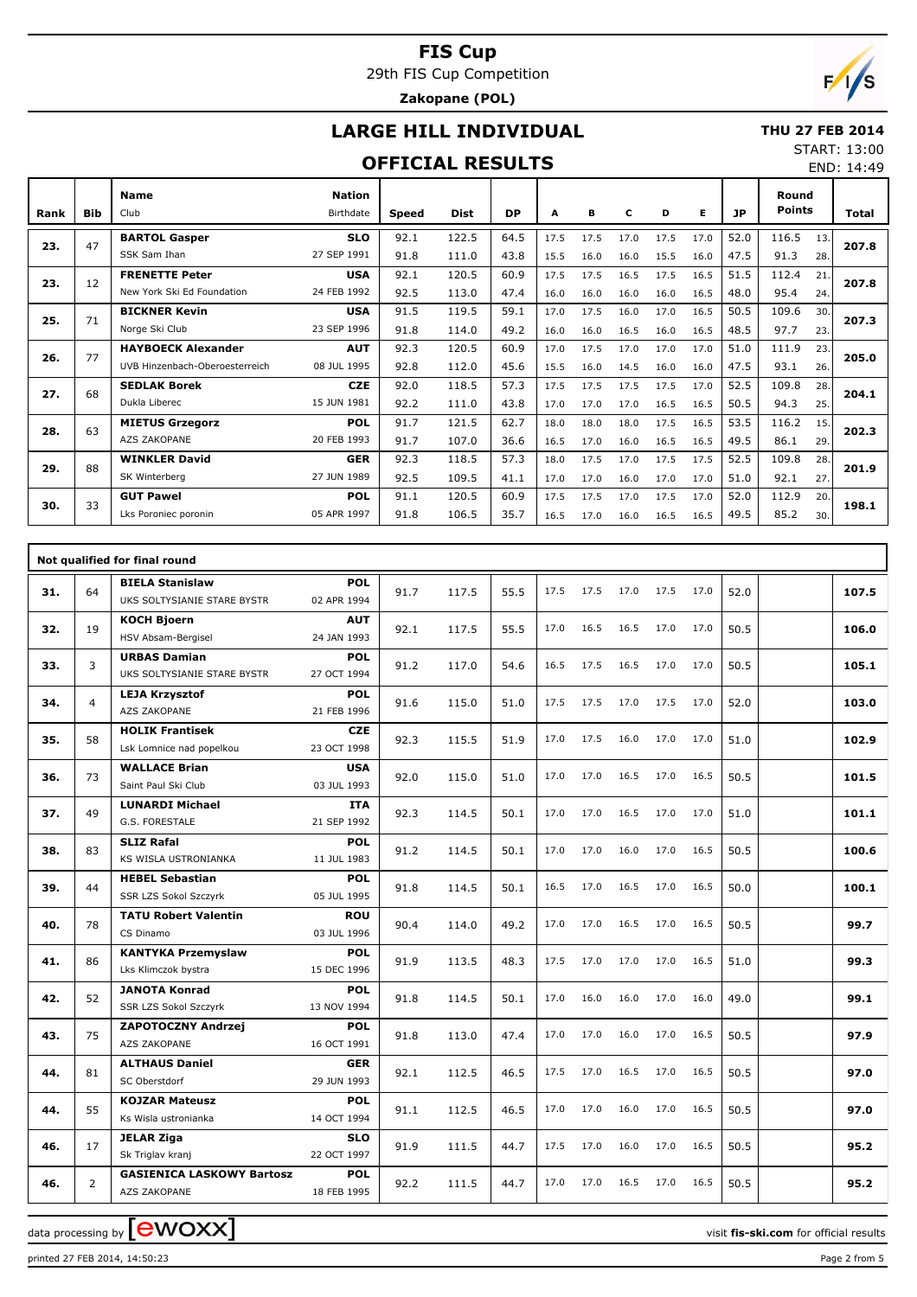29th FIS Cup Competition

## **Zakopane (POL)**

## **LARGE HILL INDIVIDUAL**

#### **THU 27 FEB 2014**

#### **OFFICIAL RESULTS**

START: 13:00 END: 14:49

| Rank | <b>Bib</b> | <b>Name</b><br>Club            | <b>Nation</b><br>Birthdate | <b>Speed</b> | Dist  | <b>DP</b> | A    | в    | c    | D    | Е    | <b>JP</b> | Round<br><b>Points</b> |     | <b>Total</b> |
|------|------------|--------------------------------|----------------------------|--------------|-------|-----------|------|------|------|------|------|-----------|------------------------|-----|--------------|
| 23.  | 47         | <b>BARTOL Gasper</b>           | <b>SLO</b>                 | 92.1         | 122.5 | 64.5      | 17.5 | 17.5 | 17.0 | 17.5 | 17.0 | 52.0      | 116.5                  | 13. | 207.8        |
|      |            | SSK Sam Ihan                   | 27 SEP 1991                | 91.8         | 111.0 | 43.8      | 15.5 | 16.0 | 16.0 | 15.5 | 16.0 | 47.5      | 91.3                   | 28. |              |
| 23.  | 12         | <b>FRENETTE Peter</b>          | <b>USA</b>                 | 92.1         | 120.5 | 60.9      | 17.5 | 17.5 | 16.5 | 17.5 | 16.5 | 51.5      | 112.4                  | 21. | 207.8        |
|      |            | New York Ski Ed Foundation     | 24 FEB 1992                | 92.5         | 113.0 | 47.4      | 16.0 | 16.0 | 16.0 | 16.0 | 16.5 | 48.0      | 95.4                   | 24. |              |
| 25.  | 71         | <b>BICKNER Kevin</b>           | <b>USA</b>                 | 91.5         | 119.5 | 59.1      | 17.0 | 17.5 | 16.0 | 17.0 | 16.5 | 50.5      | 109.6                  | 30. | 207.3        |
|      |            | Norge Ski Club                 | 23 SEP 1996                | 91.8         | 114.0 | 49.2      | 16.0 | 16.0 | 16.5 | 16.0 | 16.5 | 48.5      | 97.7                   | 23. |              |
| 26.  | 77         | <b>HAYBOECK Alexander</b>      | <b>AUT</b>                 | 92.3         | 120.5 | 60.9      | 17.0 | 17.5 | 17.0 | 17.0 | 17.0 | 51.0      | 111.9                  | 23. | 205.0        |
|      |            | UVB Hinzenbach-Oberoesterreich | 08 JUL 1995                | 92.8         | 112.0 | 45.6      | 15.5 | 16.0 | 14.5 | 16.0 | 16.0 | 47.5      | 93.1                   | 26. |              |
| 27.  | 68         | <b>SEDLAK Borek</b>            | <b>CZE</b>                 | 92.0         | 118.5 | 57.3      | 17.5 | 17.5 | 17.5 | 17.5 | 17.0 | 52.5      | 109.8                  | 28. | 204.1        |
|      |            | Dukla Liberec                  | 15 JUN 1981                | 92.2         | 111.0 | 43.8      | 17.0 | 17.0 | 17.0 | 16.5 | 16.5 | 50.5      | 94.3                   | 25. |              |
| 28.  | 63         | <b>MIETUS Grzegorz</b>         | <b>POL</b>                 | 91.7         | 121.5 | 62.7      | 18.0 | 18.0 | 18.0 | 17.5 | 16.5 | 53.5      | 116.2                  | 15. | 202.3        |
|      |            | <b>AZS ZAKOPANE</b>            | 20 FEB 1993                | 91.7         | 107.0 | 36.6      | 16.5 | 17.0 | 16.0 | 16.5 | 16.5 | 49.5      | 86.1                   | 29. |              |
| 29.  | 88         | <b>WINKLER David</b>           | <b>GER</b>                 | 92.3         | 118.5 | 57.3      | 18.0 | 17.5 | 17.0 | 17.5 | 17.5 | 52.5      | 109.8                  | 28. | 201.9        |
|      |            | SK Winterberg                  | 27 JUN 1989                | 92.5         | 109.5 | 41.1      | 17.0 | 17.0 | 16.0 | 17.0 | 17.0 | 51.0      | 92.1                   | 27. |              |
| 30.  | 33         | <b>GUT Pawel</b>               | <b>POL</b>                 | 91.1         | 120.5 | 60.9      | 17.5 | 17.5 | 17.0 | 17.5 | 17.0 | 52.0      | 112.9                  | 20. | 198.1        |
|      |            | Lks Poroniec poronin           | 05 APR 1997                | 91.8         | 106.5 | 35.7      | 16.5 | 17.0 | 16.0 | 16.5 | 16.5 | 49.5      | 85.2                   | 30. |              |

|     |                | Not qualified for final round                         |                           |      |       |      |      |      |      |      |      |      |       |
|-----|----------------|-------------------------------------------------------|---------------------------|------|-------|------|------|------|------|------|------|------|-------|
| 31. | 64             | <b>BIELA Stanislaw</b><br>UKS SOLTYSIANIE STARE BYSTR | <b>POL</b><br>02 APR 1994 | 91.7 | 117.5 | 55.5 | 17.5 | 17.5 | 17.0 | 17.5 | 17.0 | 52.0 | 107.5 |
| 32. | 19             | <b>KOCH Bjoern</b><br>HSV Absam-Bergisel              | <b>AUT</b><br>24 JAN 1993 | 92.1 | 117.5 | 55.5 | 17.0 | 16.5 | 16.5 | 17.0 | 17.0 | 50.5 | 106.0 |
| 33. | 3              | <b>URBAS Damian</b><br>UKS SOLTYSIANIE STARE BYSTR    | <b>POL</b><br>27 OCT 1994 | 91.2 | 117.0 | 54.6 | 16.5 | 17.5 | 16.5 | 17.0 | 17.0 | 50.5 | 105.1 |
| 34. | $\overline{4}$ | <b>LEJA Krzysztof</b><br>AZS ZAKOPANE                 | <b>POL</b><br>21 FEB 1996 | 91.6 | 115.0 | 51.0 | 17.5 | 17.5 | 17.0 | 17.5 | 17.0 | 52.0 | 103.0 |
| 35. | 58             | <b>HOLIK Frantisek</b><br>Lsk Lomnice nad popelkou    | <b>CZE</b><br>23 OCT 1998 | 92.3 | 115.5 | 51.9 | 17.0 | 17.5 | 16.0 | 17.0 | 17.0 | 51.0 | 102.9 |
| 36. | 73             | <b>WALLACE Brian</b><br>Saint Paul Ski Club           | <b>USA</b><br>03 JUL 1993 | 92.0 | 115.0 | 51.0 | 17.0 | 17.0 | 16.5 | 17.0 | 16.5 | 50.5 | 101.5 |
| 37. | 49             | <b>LUNARDI Michael</b><br>G.S. FORESTALE              | <b>ITA</b><br>21 SEP 1992 | 92.3 | 114.5 | 50.1 | 17.0 | 17.0 | 16.5 | 17.0 | 17.0 | 51.0 | 101.1 |
| 38. | 83             | <b>SLIZ Rafal</b><br>KS WISLA USTRONIANKA             | <b>POL</b><br>11 JUL 1983 | 91.2 | 114.5 | 50.1 | 17.0 | 17.0 | 16.0 | 17.0 | 16.5 | 50.5 | 100.6 |
| 39. | 44             | <b>HEBEL Sebastian</b><br>SSR LZS Sokol Szczyrk       | <b>POL</b><br>05 JUL 1995 | 91.8 | 114.5 | 50.1 | 16.5 | 17.0 | 16.5 | 17.0 | 16.5 | 50.0 | 100.1 |
| 40. | 78             | <b>TATU Robert Valentin</b><br>CS Dinamo              | <b>ROU</b><br>03 JUL 1996 | 90.4 | 114.0 | 49.2 | 17.0 | 17.0 | 16.5 | 17.0 | 16.5 | 50.5 | 99.7  |
| 41. | 86             | <b>KANTYKA Przemyslaw</b><br>Lks Klimczok bystra      | <b>POL</b><br>15 DEC 1996 | 91.9 | 113.5 | 48.3 | 17.5 | 17.0 | 17.0 | 17.0 | 16.5 | 51.0 | 99.3  |
| 42. | 52             | <b>JANOTA Konrad</b><br><b>SSR LZS Sokol Szczyrk</b>  | <b>POL</b><br>13 NOV 1994 | 91.8 | 114.5 | 50.1 | 17.0 | 16.0 | 16.0 | 17.0 | 16.0 | 49.0 | 99.1  |
| 43. | 75             | ZAPOTOCZNY Andrzej<br>AZS ZAKOPANE                    | <b>POL</b><br>16 OCT 1991 | 91.8 | 113.0 | 47.4 | 17.0 | 17.0 | 16.0 | 17.0 | 16.5 | 50.5 | 97.9  |
| 44. | 81             | <b>ALTHAUS Daniel</b><br>SC Oberstdorf                | <b>GER</b><br>29 JUN 1993 | 92.1 | 112.5 | 46.5 | 17.5 | 17.0 | 16.5 | 17.0 | 16.5 | 50.5 | 97.0  |
| 44. | 55             | <b>KOJZAR Mateusz</b><br>Ks Wisla ustronianka         | <b>POL</b><br>14 OCT 1994 | 91.1 | 112.5 | 46.5 | 17.0 | 17.0 | 16.0 | 17.0 | 16.5 | 50.5 | 97.0  |
| 46. | 17             | <b>JELAR Ziga</b><br>Sk Triglav kranj                 | <b>SLO</b><br>22 OCT 1997 | 91.9 | 111.5 | 44.7 | 17.5 | 17.0 | 16.0 | 17.0 | 16.5 | 50.5 | 95.2  |
| 46. | $\overline{2}$ | <b>GASIENICA LASKOWY Bartosz</b><br>AZS ZAKOPANE      | <b>POL</b><br>18 FEB 1995 | 92.2 | 111.5 | 44.7 | 17.0 | 17.0 | 16.5 | 17.0 | 16.5 | 50.5 | 95.2  |

data processing by **CWOXX**  $\blacksquare$ 

printed 27 FEB 2014, 14:50:23 Page 2 from 5

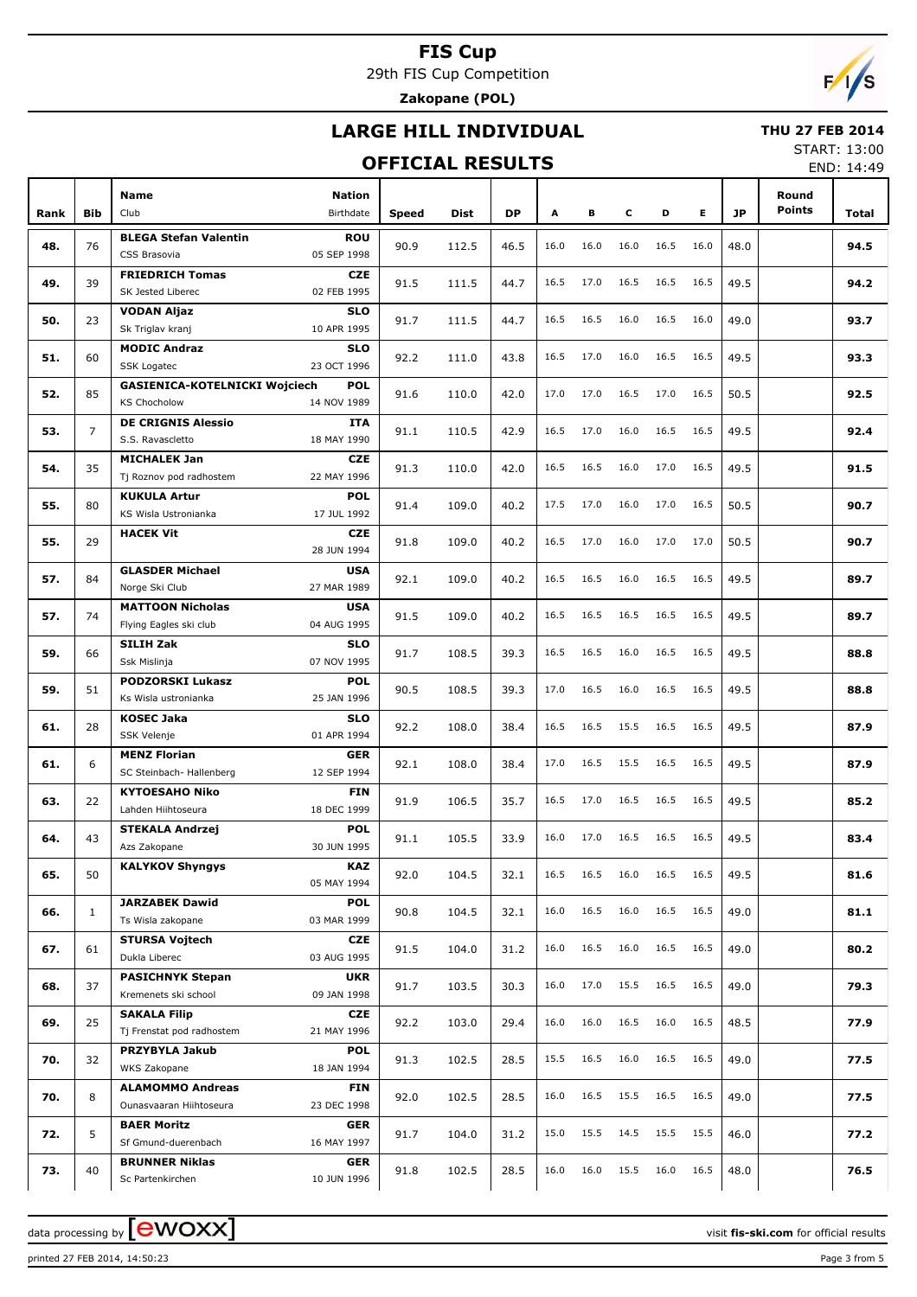29th FIS Cup Competition

**Zakopane (POL)**

## **LARGE HILL INDIVIDUAL**

#### **OFFICIAL RESULTS**

 **THU 27 FEB 2014** START: 13:00

END: 14:49

|      |                |                                                                                          |              |       |      |      |      |      |      |      |           |                        | <b>LIVD. エキ・マン</b> |
|------|----------------|------------------------------------------------------------------------------------------|--------------|-------|------|------|------|------|------|------|-----------|------------------------|--------------------|
| Rank | <b>Bib</b>     | Name<br><b>Nation</b><br>Club<br>Birthdate                                               | <b>Speed</b> | Dist  | DP   | Α    | в    | c    | D    | E.   | <b>JP</b> | Round<br><b>Points</b> | Total              |
| 48.  | 76             | <b>BLEGA Stefan Valentin</b><br><b>ROU</b><br>05 SEP 1998<br>CSS Brasovia                | 90.9         | 112.5 | 46.5 | 16.0 | 16.0 | 16.0 | 16.5 | 16.0 | 48.0      |                        | 94.5               |
| 49.  | 39             | <b>FRIEDRICH Tomas</b><br><b>CZE</b><br>SK Jested Liberec<br>02 FEB 1995                 | 91.5         | 111.5 | 44.7 | 16.5 | 17.0 | 16.5 | 16.5 | 16.5 | 49.5      |                        | 94.2               |
| 50.  | 23             | VODAN Aljaz<br><b>SLO</b><br>Sk Triglav kranj<br>10 APR 1995                             | 91.7         | 111.5 | 44.7 | 16.5 | 16.5 | 16.0 | 16.5 | 16.0 | 49.0      |                        | 93.7               |
| 51.  | 60             | <b>MODIC Andraz</b><br><b>SLO</b><br><b>SSK Logatec</b><br>23 OCT 1996                   | 92.2         | 111.0 | 43.8 | 16.5 | 17.0 | 16.0 | 16.5 | 16.5 | 49.5      |                        | 93.3               |
| 52.  | 85             | <b>GASIENICA-KOTELNICKI Wojciech</b><br><b>POL</b><br><b>KS Chocholow</b><br>14 NOV 1989 | 91.6         | 110.0 | 42.0 | 17.0 | 17.0 | 16.5 | 17.0 | 16.5 | 50.5      |                        | 92.5               |
| 53.  | $\overline{7}$ | <b>DE CRIGNIS Alessio</b><br>ITA<br>S.S. Ravascletto<br>18 MAY 1990                      | 91.1         | 110.5 | 42.9 | 16.5 | 17.0 | 16.0 | 16.5 | 16.5 | 49.5      |                        | 92.4               |
| 54.  | 35             | <b>MICHALEK Jan</b><br><b>CZE</b><br>Tj Roznov pod radhostem<br>22 MAY 1996              | 91.3         | 110.0 | 42.0 | 16.5 | 16.5 | 16.0 | 17.0 | 16.5 | 49.5      |                        | 91.5               |
| 55.  | 80             | <b>KUKULA Artur</b><br><b>POL</b><br>KS Wisla Ustronianka<br>17 JUL 1992                 | 91.4         | 109.0 | 40.2 | 17.5 | 17.0 | 16.0 | 17.0 | 16.5 | 50.5      |                        | 90.7               |
| 55.  | 29             | <b>HACEK Vit</b><br><b>CZE</b><br>28 JUN 1994                                            | 91.8         | 109.0 | 40.2 | 16.5 | 17.0 | 16.0 | 17.0 | 17.0 | 50.5      |                        | 90.7               |
| 57.  | 84             | <b>GLASDER Michael</b><br><b>USA</b><br>Norge Ski Club<br>27 MAR 1989                    | 92.1         | 109.0 | 40.2 | 16.5 | 16.5 | 16.0 | 16.5 | 16.5 | 49.5      |                        | 89.7               |
| 57.  | 74             | <b>MATTOON Nicholas</b><br><b>USA</b><br>Flying Eagles ski club<br>04 AUG 1995           | 91.5         | 109.0 | 40.2 | 16.5 | 16.5 | 16.5 | 16.5 | 16.5 | 49.5      |                        | 89.7               |
| 59.  | 66             | SILIH Zak<br><b>SLO</b><br>Ssk Mislinja<br>07 NOV 1995                                   | 91.7         | 108.5 | 39.3 | 16.5 | 16.5 | 16.0 | 16.5 | 16.5 | 49.5      |                        | 88.8               |
| 59.  | 51             | <b>PODZORSKI Lukasz</b><br><b>POL</b><br>Ks Wisla ustronianka<br>25 JAN 1996             | 90.5         | 108.5 | 39.3 | 17.0 | 16.5 | 16.0 | 16.5 | 16.5 | 49.5      |                        | 88.8               |
| 61.  | 28             | <b>KOSEC Jaka</b><br><b>SLO</b><br>SSK Velenje<br>01 APR 1994                            | 92.2         | 108.0 | 38.4 | 16.5 | 16.5 | 15.5 | 16.5 | 16.5 | 49.5      |                        | 87.9               |
| 61.  | 6              | <b>MENZ Florian</b><br><b>GER</b><br>SC Steinbach- Hallenberg<br>12 SEP 1994             | 92.1         | 108.0 | 38.4 | 17.0 | 16.5 | 15.5 | 16.5 | 16.5 | 49.5      |                        | 87.9               |
| 63.  | 22             | <b>KYTOESAHO Niko</b><br>FIN<br>Lahden Hiihtoseura<br>18 DEC 1999                        | 91.9         | 106.5 | 35.7 | 16.5 | 17.0 | 16.5 | 16.5 | 16.5 | 49.5      |                        | 85.2               |
| 64.  | 43             | <b>STEKALA Andrzej</b><br><b>POL</b><br>30 JUN 1995<br>Azs Zakopane                      | 91.1         | 105.5 | 33.9 | 16.0 | 17.0 | 16.5 | 16.5 | 16.5 | 49.5      |                        | 83.4               |
| 65.  | 50             | <b>KALYKOV Shyngys</b><br>KAZ<br>05 MAY 1994                                             | 92.0         | 104.5 | 32.1 | 16.5 | 16.5 | 16.0 | 16.5 | 16.5 | 49.5      |                        | 81.6               |
| 66.  | $\mathbf{1}$   | <b>JARZABEK Dawid</b><br><b>POL</b><br>Ts Wisla zakopane<br>03 MAR 1999                  | 90.8         | 104.5 | 32.1 | 16.0 | 16.5 | 16.0 | 16.5 | 16.5 | 49.0      |                        | 81.1               |
| 67.  | 61             | <b>STURSA Vojtech</b><br>CZE<br>Dukla Liberec<br>03 AUG 1995                             | 91.5         | 104.0 | 31.2 | 16.0 | 16.5 | 16.0 | 16.5 | 16.5 | 49.0      |                        | 80.2               |
| 68.  | 37             | <b>PASICHNYK Stepan</b><br>UKR<br>Kremenets ski school<br>09 JAN 1998                    | 91.7         | 103.5 | 30.3 | 16.0 | 17.0 | 15.5 | 16.5 | 16.5 | 49.0      |                        | 79.3               |
| 69.  | 25             | <b>SAKALA Filip</b><br>CZE<br>Tj Frenstat pod radhostem<br>21 MAY 1996                   | 92.2         | 103.0 | 29.4 | 16.0 | 16.0 | 16.5 | 16.0 | 16.5 | 48.5      |                        | 77.9               |
| 70.  | 32             | PRZYBYLA Jakub<br><b>POL</b><br>WKS Zakopane<br>18 JAN 1994                              | 91.3         | 102.5 | 28.5 | 15.5 | 16.5 | 16.0 | 16.5 | 16.5 | 49.0      |                        | 77.5               |
| 70.  | 8              | <b>ALAMOMMO Andreas</b><br>FIN<br>Ounasvaaran Hiihtoseura<br>23 DEC 1998                 | 92.0         | 102.5 | 28.5 | 16.0 | 16.5 | 15.5 | 16.5 | 16.5 | 49.0      |                        | 77.5               |
| 72.  | 5              | <b>BAER Moritz</b><br>GER<br>Sf Gmund-duerenbach<br>16 MAY 1997                          | 91.7         | 104.0 | 31.2 | 15.0 | 15.5 | 14.5 | 15.5 | 15.5 | 46.0      |                        | 77.2               |
| 73.  | 40             | <b>BRUNNER Niklas</b><br>GER<br>10 JUN 1996<br>Sc Partenkirchen                          | 91.8         | 102.5 | 28.5 | 16.0 | 16.0 | 15.5 | 16.0 | 16.5 | 48.0      |                        | 76.5               |

printed 27 FEB 2014, 14:50:23 Page 3 from 5

data processing by **CWOXX** and  $\overline{C}$  and  $\overline{C}$  and  $\overline{C}$  and  $\overline{C}$  and  $\overline{C}$  and  $\overline{C}$  and  $\overline{C}$  and  $\overline{C}$  and  $\overline{C}$  and  $\overline{C}$  and  $\overline{C}$  and  $\overline{C}$  and  $\overline{C}$  and  $\overline{C}$  and  $\overline{C}$ 

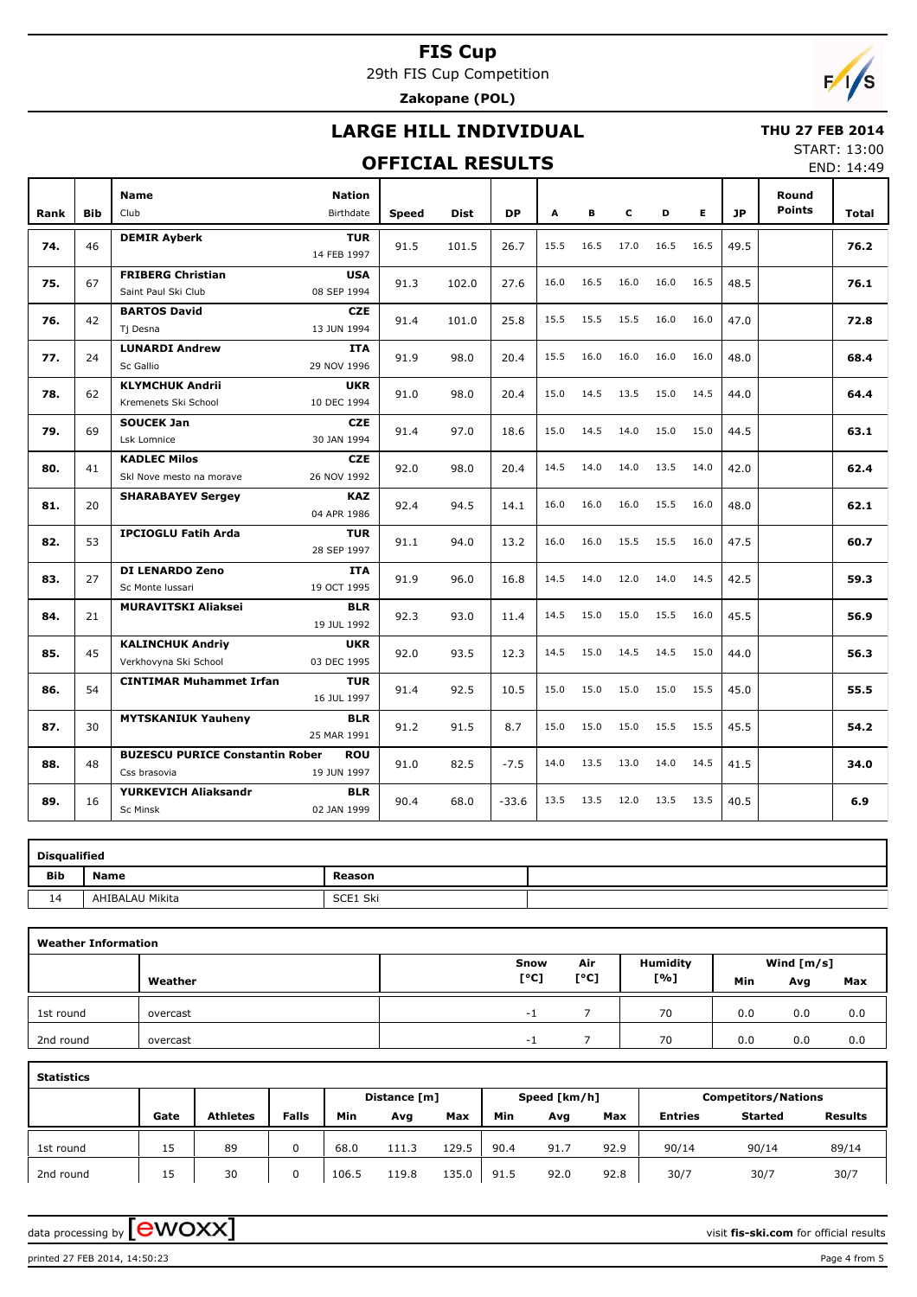29th FIS Cup Competition **Zakopane (POL)**

 $F/1/s$ 

## **LARGE HILL INDIVIDUAL**

#### **OFFICIAL RESULTS**

 **THU 27 FEB 2014** START: 13:00

END: 14:49

|      | <b>Bib</b> | <b>Nation</b><br><b>Name</b><br>Club<br><b>Birthdate</b>                            |              |             | <b>DP</b> | A    | В    | c    | D    | E.   | <b>JP</b> | Round<br><b>Points</b> | Total |
|------|------------|-------------------------------------------------------------------------------------|--------------|-------------|-----------|------|------|------|------|------|-----------|------------------------|-------|
| Rank |            |                                                                                     | <b>Speed</b> | <b>Dist</b> |           |      |      |      |      |      |           |                        |       |
| 74.  | 46         | <b>DEMIR Ayberk</b><br><b>TUR</b><br>14 FEB 1997                                    | 91.5         | 101.5       | 26.7      | 15.5 | 16.5 | 17.0 | 16.5 | 16.5 | 49.5      |                        | 76.2  |
| 75.  | 67         | <b>FRIBERG Christian</b><br><b>USA</b><br>Saint Paul Ski Club<br>08 SEP 1994        | 91.3         | 102.0       | 27.6      | 16.0 | 16.5 | 16.0 | 16.0 | 16.5 | 48.5      |                        | 76.1  |
|      |            |                                                                                     |              |             |           |      |      |      |      |      |           |                        |       |
| 76.  | 42         | <b>BARTOS David</b><br><b>CZE</b><br>Tj Desna<br>13 JUN 1994                        | 91.4         | 101.0       | 25.8      | 15.5 | 15.5 | 15.5 | 16.0 | 16.0 | 47.0      |                        | 72.8  |
| 77.  | 24         | <b>LUNARDI Andrew</b><br><b>ITA</b><br>Sc Gallio<br>29 NOV 1996                     | 91.9         | 98.0        | 20.4      | 15.5 | 16.0 | 16.0 | 16.0 | 16.0 | 48.0      |                        | 68.4  |
|      |            |                                                                                     |              |             |           |      |      |      |      |      |           |                        |       |
| 78.  | 62         | <b>KLYMCHUK Andrii</b><br><b>UKR</b><br>Kremenets Ski School<br>10 DEC 1994         | 91.0         | 98.0        | 20.4      | 15.0 | 14.5 | 13.5 | 15.0 | 14.5 | 44.0      |                        | 64.4  |
| 79.  | 69         | <b>SOUCEK Jan</b><br><b>CZE</b><br>30 JAN 1994<br>Lsk Lomnice                       | 91.4         | 97.0        | 18.6      | 15.0 | 14.5 | 14.0 | 15.0 | 15.0 | 44.5      |                        | 63.1  |
| 80.  | 41         | <b>KADLEC Milos</b><br><b>CZE</b><br>26 NOV 1992<br>Skl Nove mesto na morave        | 92.0         | 98.0        | 20.4      | 14.5 | 14.0 | 14.0 | 13.5 | 14.0 | 42.0      |                        | 62.4  |
| 81.  | 20         | <b>KAZ</b><br><b>SHARABAYEV Sergey</b><br>04 APR 1986                               | 92.4         | 94.5        | 14.1      | 16.0 | 16.0 | 16.0 | 15.5 | 16.0 | 48.0      |                        | 62.1  |
| 82.  | 53         | <b>IPCIOGLU Fatih Arda</b><br><b>TUR</b><br>28 SEP 1997                             | 91.1         | 94.0        | 13.2      | 16.0 | 16.0 | 15.5 | 15.5 | 16.0 | 47.5      |                        | 60.7  |
| 83.  | 27         | DI LENARDO Zeno<br><b>ITA</b><br>19 OCT 1995<br>Sc Monte Iussari                    | 91.9         | 96.0        | 16.8      | 14.5 | 14.0 | 12.0 | 14.0 | 14.5 | 42.5      |                        | 59.3  |
| 84.  | 21         | <b>MURAVITSKI Aliaksei</b><br><b>BLR</b><br>19 JUL 1992                             | 92.3         | 93.0        | 11.4      | 14.5 | 15.0 | 15.0 | 15.5 | 16.0 | 45.5      |                        | 56.9  |
| 85.  | 45         | <b>KALINCHUK Andriv</b><br><b>UKR</b><br>Verkhovyna Ski School<br>03 DEC 1995       | 92.0         | 93.5        | 12.3      | 14.5 | 15.0 | 14.5 | 14.5 | 15.0 | 44.0      |                        | 56.3  |
| 86.  | 54         | <b>CINTIMAR Muhammet Irfan</b><br><b>TUR</b><br>16 JUL 1997                         | 91.4         | 92.5        | 10.5      | 15.0 | 15.0 | 15.0 | 15.0 | 15.5 | 45.0      |                        | 55.5  |
| 87.  | 30         | <b>MYTSKANIUK Yauheny</b><br><b>BLR</b><br>25 MAR 1991                              | 91.2         | 91.5        | 8.7       | 15.0 | 15.0 | 15.0 | 15.5 | 15.5 | 45.5      |                        | 54.2  |
| 88.  | 48         | <b>BUZESCU PURICE Constantin Rober</b><br><b>ROU</b><br>Css brasovia<br>19 JUN 1997 | 91.0         | 82.5        | $-7.5$    | 14.0 | 13.5 | 13.0 | 14.0 | 14.5 | 41.5      |                        | 34.0  |
| 89.  | 16         | YURKEVICH Aliaksandr<br><b>BLR</b><br>02 JAN 1999<br><b>Sc Minsk</b>                | 90.4         | 68.0        | $-33.6$   | 13.5 | 13.5 | 12.0 | 13.5 | 13.5 | 40.5      |                        | 6.9   |

|     | <b>Disqualified</b> |          |  |  |  |  |  |  |  |  |  |  |  |
|-----|---------------------|----------|--|--|--|--|--|--|--|--|--|--|--|
| Bib | <b>Name</b>         | Reason   |  |  |  |  |  |  |  |  |  |  |  |
| 14  | AHIBALAU Mikita     | SCE1 Ski |  |  |  |  |  |  |  |  |  |  |  |

| <b>Weather Information</b> |          |                          |                                 |                 |              |     |     |  |  |
|----------------------------|----------|--------------------------|---------------------------------|-----------------|--------------|-----|-----|--|--|
|                            |          | Snow                     | Air                             | <b>Humidity</b> | Wind $[m/s]$ |     |     |  |  |
|                            | Weather  | [°C]                     | $\mathsf{I}^\circ \mathsf{C}$ ] | [%]             | Min          | Avg | Max |  |  |
| 1st round                  | overcast | $\overline{\phantom{0}}$ |                                 | 70              | 0.0          | 0.0 | 0.0 |  |  |
| 2nd round                  | overcast | $\overline{\phantom{0}}$ |                                 | 70              | 0.0          | 0.0 | 0.0 |  |  |

| <b>Statistics</b> |      |                 |              |              |       |       |      |              |      |                            |                |                |  |  |  |
|-------------------|------|-----------------|--------------|--------------|-------|-------|------|--------------|------|----------------------------|----------------|----------------|--|--|--|
|                   |      |                 |              | Distance [m] |       |       |      | Speed [km/h] |      | <b>Competitors/Nations</b> |                |                |  |  |  |
|                   | Gate | <b>Athletes</b> | <b>Falls</b> | Min          | Avg   | Max   | Min  | Avg          | Max  | <b>Entries</b>             | <b>Started</b> | <b>Results</b> |  |  |  |
| 1st round         | 15   | 89              |              | 68.0         | 111.3 | 129.5 | 90.4 | 91.7         | 92.9 | 90/14                      | 90/14          | 89/14          |  |  |  |
| 2nd round         | 15   | 30              |              | 106.5        | 119.8 | 135.0 | 91.5 | 92.0         | 92.8 | 30/7                       | 30/7           | 30/7           |  |  |  |

data processing by **CWOXX**  $\blacksquare$ 

printed 27 FEB 2014, 14:50:23 Page 4 from 5